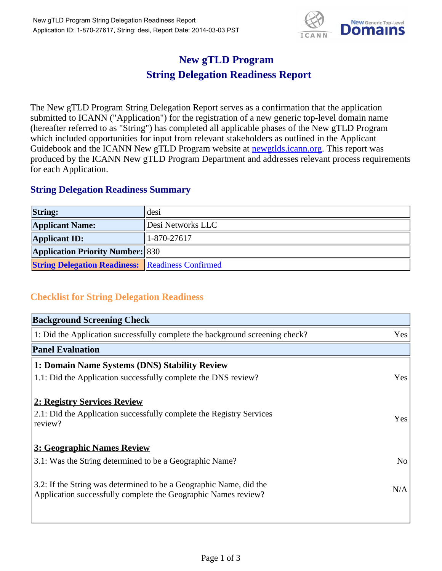

## **New gTLD Program String Delegation Readiness Report**

The New gTLD Program String Delegation Report serves as a confirmation that the application submitted to ICANN ("Application") for the registration of a new generic top-level domain name (hereafter referred to as "String") has completed all applicable phases of the New gTLD Program which included opportunities for input from relevant stakeholders as outlined in the Applicant Guidebook and the ICANN New gTLD Program website at newgtlds.icann.org. This report was produced by the ICANN New gTLD Program Department and addresses relevant process requirements for each Application.

## **String Delegation Readiness Summary**

| <b>String:</b>                                          | desi              |
|---------------------------------------------------------|-------------------|
| <b>Applicant Name:</b>                                  | Desi Networks LLC |
| <b>Applicant ID:</b>                                    | $1 - 870 - 27617$ |
| <b>Application Priority Number: 830</b>                 |                   |
| <b>String Delegation Readiness: Readiness Confirmed</b> |                   |

## **Checklist for String Delegation Readiness**

| <b>Background Screening Check</b>                                                                                                    |                |
|--------------------------------------------------------------------------------------------------------------------------------------|----------------|
| 1: Did the Application successfully complete the background screening check?                                                         | Yes            |
| <b>Panel Evaluation</b>                                                                                                              |                |
| 1: Domain Name Systems (DNS) Stability Review                                                                                        |                |
| 1.1: Did the Application successfully complete the DNS review?                                                                       | Yes            |
| 2: Registry Services Review<br>2.1: Did the Application successfully complete the Registry Services<br>review?                       | Yes            |
| 3: Geographic Names Review                                                                                                           |                |
| 3.1: Was the String determined to be a Geographic Name?                                                                              | N <sub>o</sub> |
| 3.2: If the String was determined to be a Geographic Name, did the<br>Application successfully complete the Geographic Names review? | N/A            |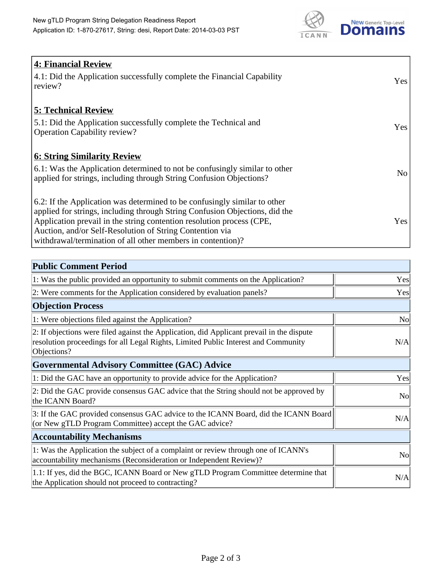

| 4: Financial Review<br>$\vert$ 4.1: Did the Application successfully complete the Financial Capability<br>review?                                                                                                                                                                                                                                            | <b>Yes</b> |
|--------------------------------------------------------------------------------------------------------------------------------------------------------------------------------------------------------------------------------------------------------------------------------------------------------------------------------------------------------------|------------|
| <b>5: Technical Review</b><br>5.1: Did the Application successfully complete the Technical and<br><b>Operation Capability review?</b>                                                                                                                                                                                                                        | Yes        |
| <b>6: String Similarity Review</b><br>$\vert$ 6.1: Was the Application determined to not be confusingly similar to other<br>applied for strings, including through String Confusion Objections?                                                                                                                                                              | No         |
| 6.2: If the Application was determined to be confusingly similar to other<br>applied for strings, including through String Confusion Objections, did the<br>Application prevail in the string contention resolution process (CPE,<br>Auction, and/or Self-Resolution of String Contention via<br>withdrawal/termination of all other members in contention)? | Yes        |

| <b>Public Comment Period</b>                                                                                                                                                                   |                |
|------------------------------------------------------------------------------------------------------------------------------------------------------------------------------------------------|----------------|
| 1: Was the public provided an opportunity to submit comments on the Application?                                                                                                               | Yes            |
| 2: Were comments for the Application considered by evaluation panels?                                                                                                                          | Yes            |
| <b>Objection Process</b>                                                                                                                                                                       |                |
| 1: Were objections filed against the Application?                                                                                                                                              | N <sub>o</sub> |
| 2: If objections were filed against the Application, did Applicant prevail in the dispute<br>resolution proceedings for all Legal Rights, Limited Public Interest and Community<br>Objections? | N/A            |
| Governmental Advisory Committee (GAC) Advice                                                                                                                                                   |                |
| 1: Did the GAC have an opportunity to provide advice for the Application?                                                                                                                      | Yes            |
| 2: Did the GAC provide consensus GAC advice that the String should not be approved by<br>the ICANN Board?                                                                                      | N <sub>o</sub> |
| 3: If the GAC provided consensus GAC advice to the ICANN Board, did the ICANN Board<br>(or New gTLD Program Committee) accept the GAC advice?                                                  | N/A            |
| <b>Accountability Mechanisms</b>                                                                                                                                                               |                |
| 1: Was the Application the subject of a complaint or review through one of ICANN's<br>accountability mechanisms (Reconsideration or Independent Review)?                                       | N <sub>0</sub> |
| 1.1: If yes, did the BGC, ICANN Board or New gTLD Program Committee determine that<br>the Application should not proceed to contracting?                                                       | N/A            |